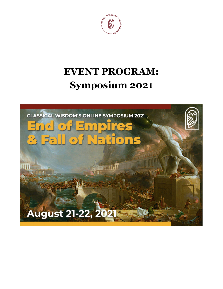

# **EVENT PROGRAM: Symposium 2021**

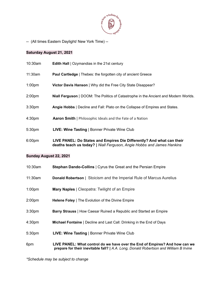

-- (All times Eastern Daylight/ New York Time) --

#### **Saturday August 21, 2021**

| 10:30am            | <b>Edith Hall</b>   Ozymandias in the 21st century                                                                                              |
|--------------------|-------------------------------------------------------------------------------------------------------------------------------------------------|
| 11:30am            | Paul Cartledge   Thebes: the forgotten city of ancient Greece                                                                                   |
| 1:00 <sub>pm</sub> | Victor Davis Hanson   Why did the Free City State Disappear?                                                                                    |
| 2:00pm             | <b>Niall Ferguson</b>   DOOM: The Politics of Catastrophe in the Ancient and Modern Worlds.                                                     |
| 3:30pm             | Angie Hobbs   Decline and Fall: Plato on the Collapse of Empires and States.                                                                    |
| 4:30pm             | <b>Aaron Smith</b>   Philosophic Ideals and the Fate of a Nation                                                                                |
| 5:30pm             | <b>LIVE: Wine Tasting   Bonner Private Wine Club</b>                                                                                            |
| 6:00pm             | LIVE PANEL: Do States and Empires Die Differently? And what can their<br>deaths teach us today?   Niall Ferguson, Angie Hobbs and James Hankins |

#### **Sunday August 22, 2021**

| $10:30$ am         | <b>Stephan Dando-Collins</b>   Cyrus the Great and the Persian Empire                                                                                                |
|--------------------|----------------------------------------------------------------------------------------------------------------------------------------------------------------------|
| 11:30am            | <b>Donald Robertson</b>   Stoicism and the Imperial Rule of Marcus Aurelius                                                                                          |
| 1:00 <sub>pm</sub> | <b>Mary Naples</b>   Cleopatra: Twilight of an Empire                                                                                                                |
| 2:00 <sub>pm</sub> | <b>Helene Foley</b>   The Evolution of the Divine Empire                                                                                                             |
| 3:30 <sub>pm</sub> | Barry Strauss   How Caesar Ruined a Republic and Started an Empire                                                                                                   |
| 4:30 <sub>pm</sub> | <b>Michael Fontaine</b>   Decline and Last Call: Drinking in the End of Days                                                                                         |
| 5:30 <sub>pm</sub> | <b>LIVE: Wine Tasting   Bonner Private Wine Club</b>                                                                                                                 |
| 6pm                | LIVE PANEL: What control do we have over the End of Empires? And how can we<br>prepare for their inevitable fall?   A.A. Long, Donald Robertson and William B Irvine |

*\*Schedule may be subject to change*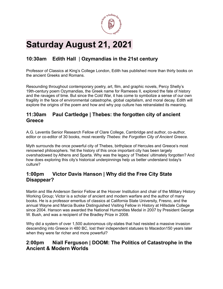

## **Saturday August 21, 2021**

### **10:30am Edith Hall** | **Ozymandias in the 21st century**

Professor of Classics at King's College London, Edith has published more than thirty books on the ancient Greeks and Romans.

Resounding throughout contemporary poetry, art, film, and graphic novels, Percy Shelly's 19th-century poem Ozymandias, the Greek name for Rameses II, explored the fate of history and the ravages of time. But since the Cold War, it has come to symbolize a sense of our own fragility in the face of environmental catastrophe, global capitalism, and moral decay. Edith will explore the origins of the poem and how and why pop culture has retranslated its meaning.

#### **11:30am Paul Cartledge | Thebes: the forgotten city of ancient Greece**

A.G. Leventis Senior Research Fellow of Clare College, Cambridge and author, co-author, editor or co-editor of 30 books, most recently *Thebes: the Forgotten City of Ancient Greece.*

Myth surrounds the once powerful city of Thebes, birthplace of Hercules and Greece's most renowned philosophers. Yet the history of this once important city has been largely overshadowed by Athens and Sparta. Why was the legacy of Thebes' ultimately forgotten? And how does exploring this city's historical underpinnings help us better understand today's culture?

#### **1:00pm Victor Davis Hanson | Why did the Free City State Disappear?**

Martin and Illie Anderson Senior Fellow at the Hoover Institution and chair of the Military History Working Group; Victor is a scholar of ancient and modern warfare and the author of many books. He is a professor emeritus of classics at California State University, Fresno, and the annual Wayne and Marcia Buske Distinguished Visiting Fellow in History at Hillsdale College since 2004. Hanson was awarded the National Humanities Medal in 2007 by President George W. Bush, and was a recipient of the Bradley Prize in 2008.

Why did a system of over 1,500 autonomous city-states that had resisted a massive invasion descending into Greece in 480 BC, lost their independent statuses to Macedon150 years later when they were far richer and more powerful?

#### **2:00pm Niall Ferguson | DOOM: The Politics of Catastrophe in the Ancient & Modern Worlds**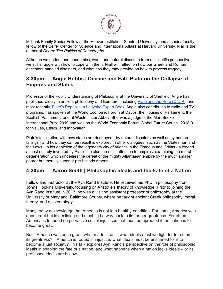

Milbank Family Senior Fellow at the Hoover Institution, Stanford University, and a senior faculty fellow of the Belfer Center for Science and International Affairs at Harvard University. Niall is the author of *Doom: The Politics of Catastrophe.*

Although we understand pandemics, wars, and natural disasters from a scientific perspective, we still struggle with how to cope with them. Niall will reflect on how our Greek and Roman ancestors handled disasters, and what tips they may provide on how to process tragedy.

#### **3:30pm Angie Hobbs | Decline and Fall: Plato on the Collapse of Empires and States**

Professor of the Public Understanding of Philosophy at the University of Sheffield, Angie has published widely in ancient philosophy and literature, including Plato and the Hero [\(C.U.P\)](https://amazon.com/Plato-Hero-Hobbs/dp/0521028973). and most recently, Plato's [Republic:](https://www.amazon.com/Platos-Republic-Ladybird-Expert/dp/0718188527) a Ladybird Expert Book. Angie also contributes to radio and TV programs, has spoken at the World Economic Forum at Davos, the Houses of Parliament, the Scottish Parliament, and at Westminster Abbey. She was a judge of the Man Booker International Prize 2019 and was on the World Economic Forum Global Future Council 2018-9 for Values, Ethics, and Innovation.

Plato's fascination with how states are destroyed - by natural disasters as well as by human failings - and how they can be rebuilt is explored in other dialogues, such as the Statesman and the Laws. In his depiction of the legendary city of Atlantis in the Timaeus and Critias - a legend almost entirely invented by Plato - he also turns his attention to empires, examining the moral degeneration which underlies the defeat of the mighty Atlantaean empire by the much smaller, poorer but morally superior pre-historic Athens.

#### **4:30pm Aaron Smith | Philosophic Ideals and the Fate of a Nation**

Fellow and Instructor at the Ayn Rand Institute. He received his PhD in philosophy from Johns Hopkins University, focusing on Aristotle's theory of knowledge. Prior to joining the Ayn Rand Institute in 2013, he was a visiting assistant professor of philosophy at the University of Maryland, Baltimore County, where he taught ancient Greek philosophy, moral theory, and epistemology.

Many today acknowledge that America is not in a healthy condition. For some, America was once great but is declining and must find a way back to its former greatness. For others, America is founded on pervasive social injustices that must be uprooted if the nation is to become great.

But if America was once great, what made it so — what ideals must we fight for to restore its greatness? If America is rooted in injustice, what ideals must be enshrined for it to become a just society? This talk explores Ayn Rand's perspective on the role of philosophic ideals in shaping the fate of a nation, and what happens when a nation lacks ideals – or its professed ideals are hollow.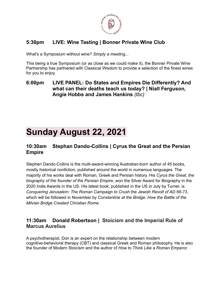

### **5:30pm LIVE: Wine Tasting | Bonner Private Wine Club**

What's a Symposium without wine? *Simply a meeting...*

This being a true Symposium (or as close as we could make it), the Bonner Private Wine Partnership has partnered with Classical Wisdom to provide a selection of the finest wines for you to enjoy.

**6:00pm LIVE PANEL: Do States and Empires Die Differently? And what can their deaths teach us today? | Niall Ferguson, Angie Hobbs and James Hankins** *(tbc)*

## **Sunday August 22, 2021**

#### **10:30am Stephan Dando-Collins | Cyrus the Great and the Persian Empire**

Stephen Dando-Collins is the multi-award-winning Australian-born author of 45 books, mostly historical nonfiction, published around the world in numerous languages. The majority of his works deal with Roman, Greek and Persian history. His *Cyrus the Great, the biography of the founder of the Persian Empire,* won the Silver Award for Biography in the 2020 Indie Awards in the US. His latest book, published in the US in July by Turner, is *Conquering Jerusalem: The Roman Campaign to Crush the Jewish Revolt of AD 66-73*, which will be followed in November by *Constantine at the Bridge: How the Battle of the Milvian Bridge Created Christian Rome*.

#### **11:30am Donald Robertson | Stoicism and the Imperial Rule of Marcus Aurelius**

A psychotherapist, Don is an expert on the relationship between modern cognitive-behavioral therapy (CBT) and classical Greek and Roman philosophy. He is also the founder of Modern Stoicism and the author of *How to Think Like a Roman Emperor.*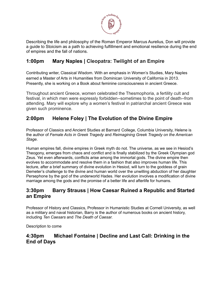

Describing the life and philosophy of the Roman Emperor Marcus Aurelius, Don will provide a guide to Stoicism as a path to achieving fulfillment and emotional resilience during the end of empires and the fall of nations.

#### **1:00pm Mary Naples | Cleopatra: Twilight of an Empire**

Contributing writer, Classical Wisdom. With an emphasis in Women's Studies, Mary Naples earned a Master of Arts in Humanities from Dominican University of California in 2013. Presently, she is working on a Book about feminine consciousness in ancient Greece.

Throughout ancient Greece, women celebrated the Thesmophoria, a fertility cult and festival, in which men were expressly forbidden--sometimes to the point of death--from attending. Mary will explore why a women's festival in patriarchal ancient Greece was given such prominence.

#### **2:00pm Helene Foley | The Evolution of the Divine Empire**

Professor of Classics and Ancient Studies at Barnard College, Columbia University, Helene is the author of *Female Acts in Greek Tragedy* and *Reimagining Greek Tragedy on the American Stage.*

Human empires fall, divine empires in Greek myth do not. The universe, as we see in Hesiod's Theogony, emerges from chaos and conflict and is finally stabilized by the Greek Olympian god Zeus. Yet even afterwards, conflicts arise among the immortal gods. The divine empire then evolves to accommodate and resolve them in a fashion that also improves human life. This lecture, after a brief summary of divine evolution in Hesiod, will turn to the goddess of grain Demeter's challenge to the divine and human world over the unwilling abduction of her daughter Persephone by the god of the underworld Hades. Her evolution involves a modification of divine marriage among the gods and the promise of a better life and afterlife for humans.

#### **3:30pm Barry Strauss | How Caesar Ruined a Republic and Started an Empire**

Professor of History and Classics, Professor in Humanistic Studies at Cornell University, as well as a military and naval historian, Barry is the author of numerous books on ancient history, including *Ten Caesars* and *The Death of Caesar.*

Description to come

#### **4:30pm Michael Fontaine | Decline and Last Call: Drinking in the End of Days**